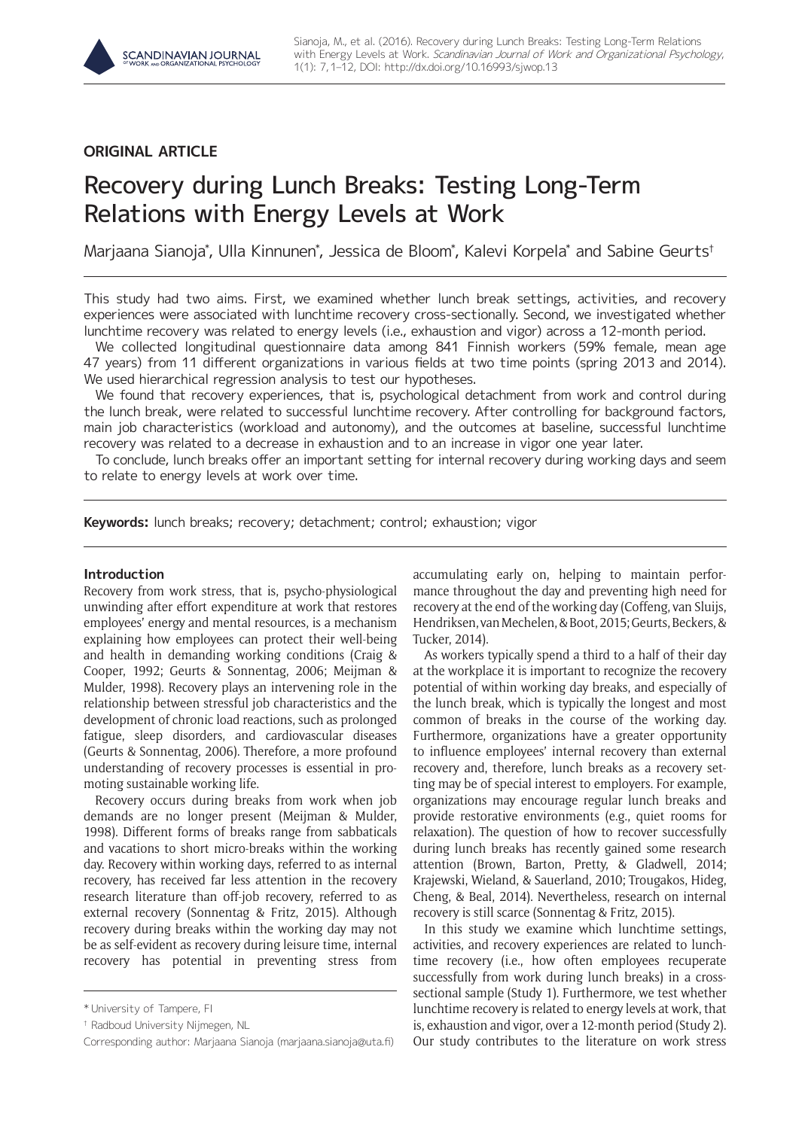# **ORIGINAL ARTICLE**

# Recovery during Lunch Breaks: Testing Long-Term Relations with Energy Levels at Work

Marjaana Sianoja\*, Ulla Kinnunen\*, Jessica de Bloom\*, Kalevi Korpela\* and Sabine Geurts†

This study had two aims. First, we examined whether lunch break settings, activities, and recovery experiences were associated with lunchtime recovery cross-sectionally. Second, we investigated whether lunchtime recovery was related to energy levels (i.e., exhaustion and vigor) across a 12-month period.

We collected longitudinal questionnaire data among 841 Finnish workers (59% female, mean age 47 years) from 11 different organizations in various fields at two time points (spring 2013 and 2014). We used hierarchical regression analysis to test our hypotheses.

We found that recovery experiences, that is, psychological detachment from work and control during the lunch break, were related to successful lunchtime recovery. After controlling for background factors, main job characteristics (workload and autonomy), and the outcomes at baseline, successful lunchtime recovery was related to a decrease in exhaustion and to an increase in vigor one year later.

To conclude, lunch breaks offer an important setting for internal recovery during working days and seem to relate to energy levels at work over time.

**Keywords:** lunch breaks; recovery; detachment; control; exhaustion; vigor

# **Introduction**

Recovery from work stress, that is, psycho-physiological unwinding after effort expenditure at work that restores employees' energy and mental resources, is a mechanism explaining how employees can protect their well-being and health in demanding working conditions (Craig & Cooper, 1992; Geurts & Sonnentag, 2006; Meijman & Mulder, 1998). Recovery plays an intervening role in the relationship between stressful job characteristics and the development of chronic load reactions, such as prolonged fatigue, sleep disorders, and cardiovascular diseases (Geurts & Sonnentag, 2006). Therefore, a more profound understanding of recovery processes is essential in promoting sustainable working life.

Recovery occurs during breaks from work when job demands are no longer present (Meijman & Mulder, 1998). Different forms of breaks range from sabbaticals and vacations to short micro-breaks within the working day. Recovery within working days, referred to as internal recovery, has received far less attention in the recovery research literature than off-job recovery, referred to as external recovery (Sonnentag & Fritz, 2015). Although recovery during breaks within the working day may not be as self-evident as recovery during leisure time, internal recovery has potential in preventing stress from accumulating early on, helping to maintain performance throughout the day and preventing high need for recovery at the end of the working day (Coffeng, van Sluijs, Hendriksen, van Mechelen, & Boot, 2015; Geurts, Beckers, & Tucker, 2014).

As workers typically spend a third to a half of their day at the workplace it is important to recognize the recovery potential of within working day breaks, and especially of the lunch break, which is typically the longest and most common of breaks in the course of the working day. Furthermore, organizations have a greater opportunity to influence employees' internal recovery than external recovery and, therefore, lunch breaks as a recovery setting may be of special interest to employers. For example, organizations may encourage regular lunch breaks and provide restorative environments (e.g., quiet rooms for relaxation). The question of how to recover successfully during lunch breaks has recently gained some research attention (Brown, Barton, Pretty, & Gladwell, 2014; Krajewski, Wieland, & Sauerland, 2010; Trougakos, Hideg, Cheng, & Beal, 2014). Nevertheless, research on internal recovery is still scarce (Sonnentag & Fritz, 2015).

In this study we examine which lunchtime settings, activities, and recovery experiences are related to lunchtime recovery (i.e., how often employees recuperate successfully from work during lunch breaks) in a crosssectional sample (Study 1). Furthermore, we test whether lunchtime recovery is related to energy levels at work, that is, exhaustion and vigor, over a 12-month period (Study 2). Our study contributes to the literature on work stress

<sup>\*</sup> University of Tampere, FI

<sup>†</sup> Radboud University Nijmegen, NL

Corresponding author: Marjaana Sianoja ([marjaana.sianoja@uta.fi](mailto:marjaana.sianoja@uta.fi))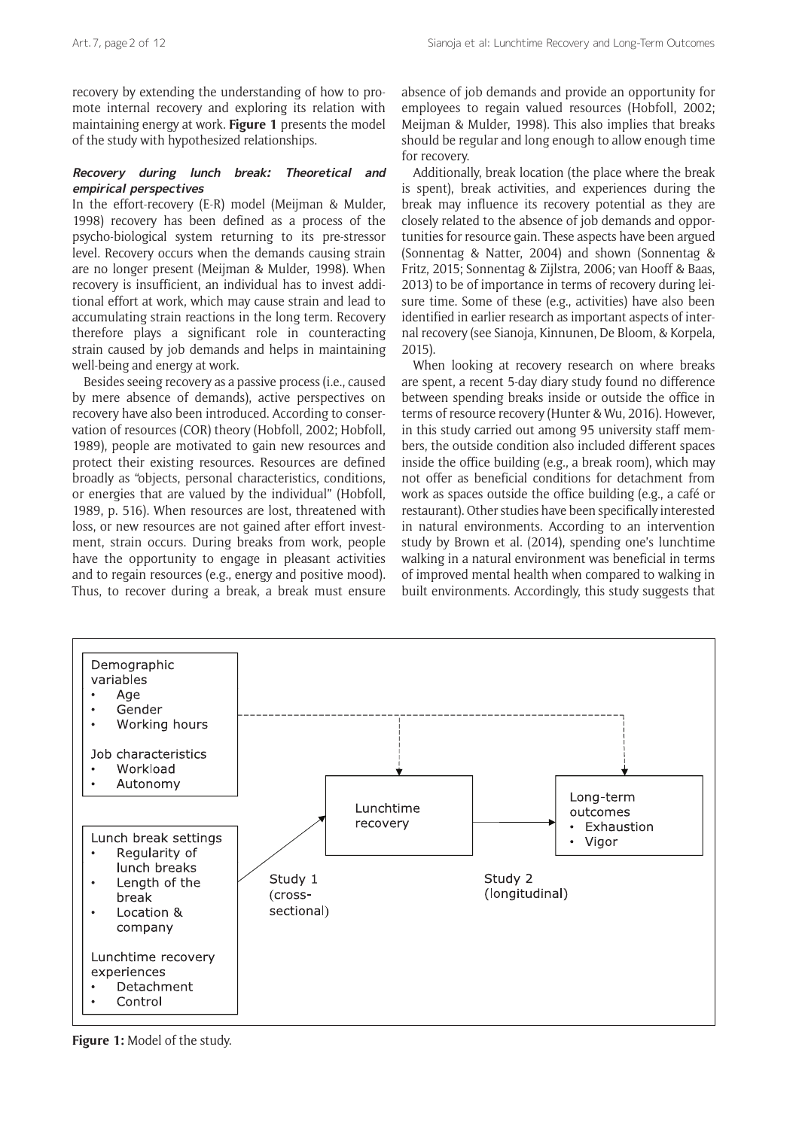recovery by extending the understanding of how to promote internal recovery and exploring its relation with maintaining energy at work. **Figure 1** presents the model of the study with hypothesized relationships.

# **Recovery during lunch break: Theoretical and empirical perspectives**

In the effort-recovery (E-R) model (Meijman & Mulder, 1998) recovery has been defined as a process of the psycho-biological system returning to its pre-stressor level. Recovery occurs when the demands causing strain are no longer present (Meijman & Mulder, 1998). When recovery is insufficient, an individual has to invest additional effort at work, which may cause strain and lead to accumulating strain reactions in the long term. Recovery therefore plays a significant role in counteracting strain caused by job demands and helps in maintaining well-being and energy at work.

Besides seeing recovery as a passive process (i.e., caused by mere absence of demands), active perspectives on recovery have also been introduced. According to conservation of resources (COR) theory (Hobfoll, 2002; Hobfoll, 1989), people are motivated to gain new resources and protect their existing resources. Resources are defined broadly as "objects, personal characteristics, conditions, or energies that are valued by the individual" (Hobfoll, 1989, p. 516). When resources are lost, threatened with loss, or new resources are not gained after effort investment, strain occurs. During breaks from work, people have the opportunity to engage in pleasant activities and to regain resources (e.g., energy and positive mood). Thus, to recover during a break, a break must ensure

absence of job demands and provide an opportunity for employees to regain valued resources (Hobfoll, 2002; Meijman & Mulder, 1998). This also implies that breaks should be regular and long enough to allow enough time for recovery.

Additionally, break location (the place where the break is spent), break activities, and experiences during the break may influence its recovery potential as they are closely related to the absence of job demands and opportunities for resource gain. These aspects have been argued (Sonnentag & Natter, 2004) and shown (Sonnentag & Fritz, 2015; Sonnentag & Zijlstra, 2006; van Hooff & Baas, 2013) to be of importance in terms of recovery during leisure time. Some of these (e.g., activities) have also been identified in earlier research as important aspects of internal recovery (see Sianoja, Kinnunen, De Bloom, & Korpela, 2015).

When looking at recovery research on where breaks are spent, a recent 5-day diary study found no difference between spending breaks inside or outside the office in terms of resource recovery (Hunter & Wu, 2016). However, in this study carried out among 95 university staff members, the outside condition also included different spaces inside the office building (e.g., a break room), which may not offer as beneficial conditions for detachment from work as spaces outside the office building (e.g., a café or restaurant). Other studies have been specifically interested in natural environments. According to an intervention study by Brown et al. (2014), spending one's lunchtime walking in a natural environment was beneficial in terms of improved mental health when compared to walking in built environments. Accordingly, this study suggests that



**Figure 1:** Model of the study.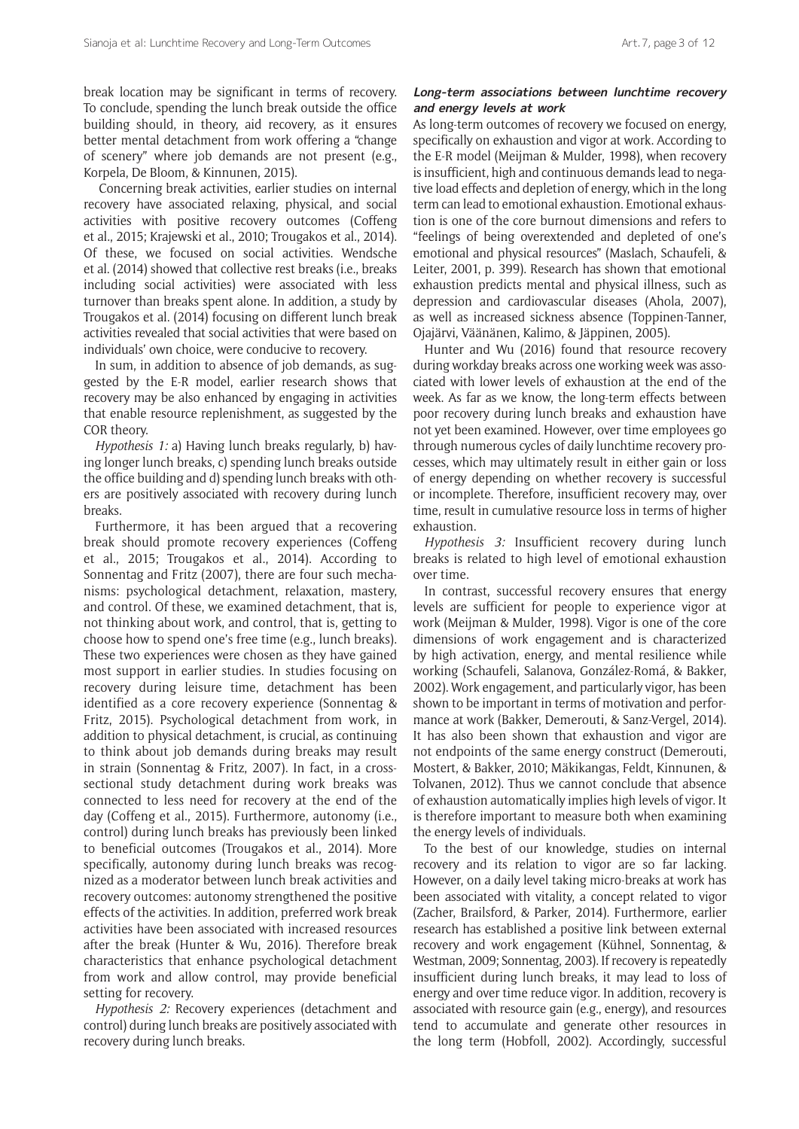break location may be significant in terms of recovery. To conclude, spending the lunch break outside the office building should, in theory, aid recovery, as it ensures better mental detachment from work offering a "change of scenery" where job demands are not present (e.g., Korpela, De Bloom, & Kinnunen, 2015).

 Concerning break activities, earlier studies on internal recovery have associated relaxing, physical, and social activities with positive recovery outcomes (Coffeng et al., 2015; Krajewski et al., 2010; Trougakos et al., 2014). Of these, we focused on social activities. Wendsche et al. (2014) showed that collective rest breaks (i.e., breaks including social activities) were associated with less turnover than breaks spent alone. In addition, a study by Trougakos et al. (2014) focusing on different lunch break activities revealed that social activities that were based on individuals' own choice, were conducive to recovery.

In sum, in addition to absence of job demands, as suggested by the E-R model, earlier research shows that recovery may be also enhanced by engaging in activities that enable resource replenishment, as suggested by the COR theory.

*Hypothesis 1:* a) Having lunch breaks regularly, b) having longer lunch breaks, c) spending lunch breaks outside the office building and d) spending lunch breaks with others are positively associated with recovery during lunch breaks.

Furthermore, it has been argued that a recovering break should promote recovery experiences (Coffeng et al., 2015; Trougakos et al., 2014). According to Sonnentag and Fritz (2007), there are four such mechanisms: psychological detachment, relaxation, mastery, and control. Of these, we examined detachment, that is, not thinking about work, and control, that is, getting to choose how to spend one's free time (e.g., lunch breaks). These two experiences were chosen as they have gained most support in earlier studies. In studies focusing on recovery during leisure time, detachment has been identified as a core recovery experience (Sonnentag & Fritz, 2015). Psychological detachment from work, in addition to physical detachment, is crucial, as continuing to think about job demands during breaks may result in strain (Sonnentag & Fritz, 2007). In fact, in a crosssectional study detachment during work breaks was connected to less need for recovery at the end of the day (Coffeng et al., 2015). Furthermore, autonomy (i.e., control) during lunch breaks has previously been linked to beneficial outcomes (Trougakos et al., 2014). More specifically, autonomy during lunch breaks was recognized as a moderator between lunch break activities and recovery outcomes: autonomy strengthened the positive effects of the activities. In addition, preferred work break activities have been associated with increased resources after the break (Hunter & Wu, 2016). Therefore break characteristics that enhance psychological detachment from work and allow control, may provide beneficial setting for recovery.

*Hypothesis 2:* Recovery experiences (detachment and control) during lunch breaks are positively associated with recovery during lunch breaks.

# **Long-term associations between lunchtime recovery and energy levels at work**

As long-term outcomes of recovery we focused on energy, specifically on exhaustion and vigor at work. According to the E-R model (Meijman & Mulder, 1998), when recovery is insufficient, high and continuous demands lead to negative load effects and depletion of energy, which in the long term can lead to emotional exhaustion. Emotional exhaustion is one of the core burnout dimensions and refers to "feelings of being overextended and depleted of one's emotional and physical resources" (Maslach, Schaufeli, & Leiter, 2001, p. 399). Research has shown that emotional exhaustion predicts mental and physical illness, such as depression and cardiovascular diseases (Ahola, 2007), as well as increased sickness absence (Toppinen-Tanner, Ojajärvi, Väänänen, Kalimo, & Jäppinen, 2005).

Hunter and Wu (2016) found that resource recovery during workday breaks across one working week was associated with lower levels of exhaustion at the end of the week. As far as we know, the long-term effects between poor recovery during lunch breaks and exhaustion have not yet been examined. However, over time employees go through numerous cycles of daily lunchtime recovery processes, which may ultimately result in either gain or loss of energy depending on whether recovery is successful or incomplete. Therefore, insufficient recovery may, over time, result in cumulative resource loss in terms of higher exhaustion.

*Hypothesis 3:* Insufficient recovery during lunch breaks is related to high level of emotional exhaustion over time.

In contrast, successful recovery ensures that energy levels are sufficient for people to experience vigor at work (Meijman & Mulder, 1998). Vigor is one of the core dimensions of work engagement and is characterized by high activation, energy, and mental resilience while working (Schaufeli, Salanova, González-Romá, & Bakker, 2002). Work engagement, and particularly vigor, has been shown to be important in terms of motivation and performance at work (Bakker, Demerouti, & Sanz-Vergel, 2014). It has also been shown that exhaustion and vigor are not endpoints of the same energy construct (Demerouti, Mostert, & Bakker, 2010; Mäkikangas, Feldt, Kinnunen, & Tolvanen, 2012). Thus we cannot conclude that absence of exhaustion automatically implies high levels of vigor. It is therefore important to measure both when examining the energy levels of individuals.

To the best of our knowledge, studies on internal recovery and its relation to vigor are so far lacking. However, on a daily level taking micro-breaks at work has been associated with vitality, a concept related to vigor (Zacher, Brailsford, & Parker, 2014). Furthermore, earlier research has established a positive link between external recovery and work engagement (Kühnel, Sonnentag, & Westman, 2009; Sonnentag, 2003). If recovery is repeatedly insufficient during lunch breaks, it may lead to loss of energy and over time reduce vigor. In addition, recovery is associated with resource gain (e.g., energy), and resources tend to accumulate and generate other resources in the long term (Hobfoll, 2002). Accordingly, successful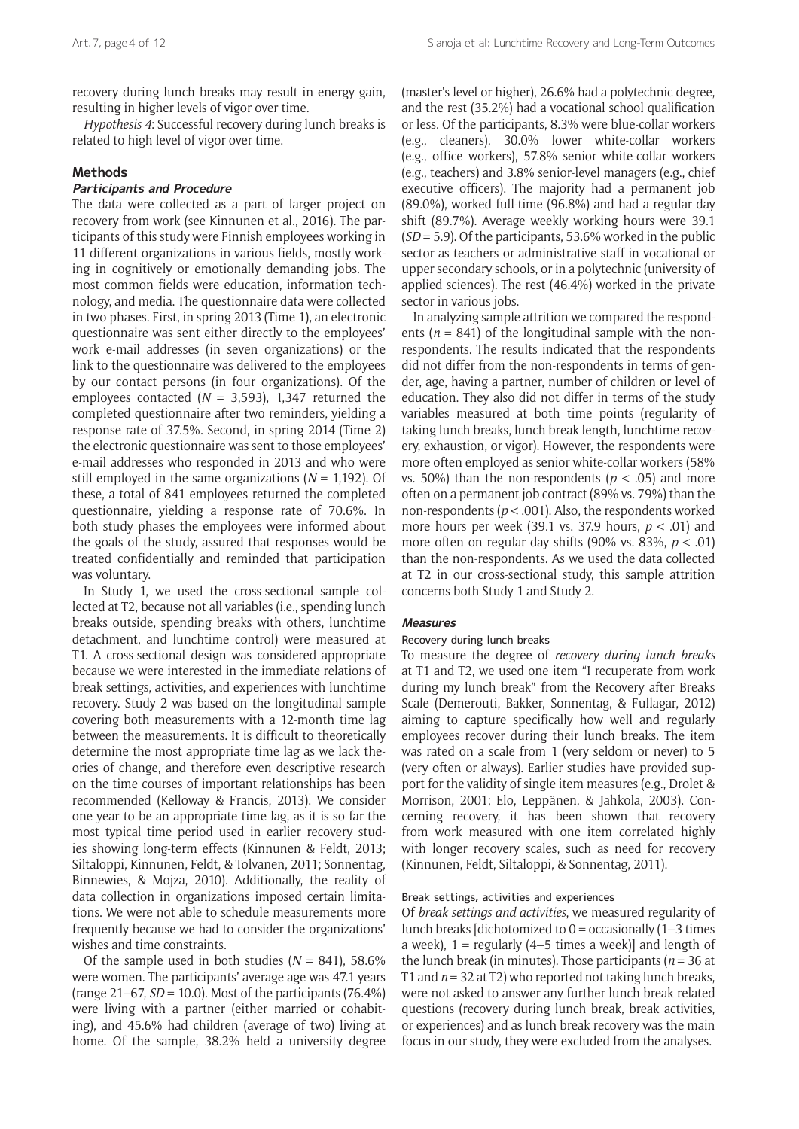recovery during lunch breaks may result in energy gain, resulting in higher levels of vigor over time.

*Hypothesis 4*: Successful recovery during lunch breaks is related to high level of vigor over time.

#### **Methods**

# **Participants and Procedure**

The data were collected as a part of larger project on recovery from work (see Kinnunen et al., 2016). The participants of this study were Finnish employees working in 11 different organizations in various fields, mostly working in cognitively or emotionally demanding jobs. The most common fields were education, information technology, and media. The questionnaire data were collected in two phases. First, in spring 2013 (Time 1), an electronic questionnaire was sent either directly to the employees' work e-mail addresses (in seven organizations) or the link to the questionnaire was delivered to the employees by our contact persons (in four organizations). Of the employees contacted (*N* = 3,593), 1,347 returned the completed questionnaire after two reminders, yielding a response rate of 37.5%. Second, in spring 2014 (Time 2) the electronic questionnaire was sent to those employees' e-mail addresses who responded in 2013 and who were still employed in the same organizations (*N* = 1,192). Of these, a total of 841 employees returned the completed questionnaire, yielding a response rate of 70.6%. In both study phases the employees were informed about the goals of the study, assured that responses would be treated confidentially and reminded that participation was voluntary.

In Study 1, we used the cross-sectional sample collected at T2, because not all variables (i.e., spending lunch breaks outside, spending breaks with others, lunchtime detachment, and lunchtime control) were measured at T1. A cross-sectional design was considered appropriate because we were interested in the immediate relations of break settings, activities, and experiences with lunchtime recovery. Study 2 was based on the longitudinal sample covering both measurements with a 12-month time lag between the measurements. It is difficult to theoretically determine the most appropriate time lag as we lack theories of change, and therefore even descriptive research on the time courses of important relationships has been recommended (Kelloway & Francis, 2013). We consider one year to be an appropriate time lag, as it is so far the most typical time period used in earlier recovery studies showing long-term effects (Kinnunen & Feldt, 2013; Siltaloppi, Kinnunen, Feldt, & Tolvanen, 2011; Sonnentag, Binnewies, & Mojza, 2010). Additionally, the reality of data collection in organizations imposed certain limitations. We were not able to schedule measurements more frequently because we had to consider the organizations' wishes and time constraints.

Of the sample used in both studies  $(N = 841)$ , 58.6% were women. The participants' average age was 47.1 years (range  $21-67$ ,  $SD = 10.0$ ). Most of the participants (76.4%) were living with a partner (either married or cohabiting), and 45.6% had children (average of two) living at home. Of the sample, 38.2% held a university degree (master's level or higher), 26.6% had a polytechnic degree, and the rest (35.2%) had a vocational school qualification or less. Of the participants, 8.3% were blue-collar workers (e.g., cleaners), 30.0% lower white-collar workers (e.g., office workers), 57.8% senior white-collar workers (e.g., teachers) and 3.8% senior-level managers (e.g., chief executive officers). The majority had a permanent job (89.0%), worked full-time (96.8%) and had a regular day shift (89.7%). Average weekly working hours were 39.1 (*SD* = 5.9). Of the participants, 53.6% worked in the public sector as teachers or administrative staff in vocational or upper secondary schools, or in a polytechnic (university of applied sciences). The rest (46.4%) worked in the private sector in various jobs.

In analyzing sample attrition we compared the respondents ( $n = 841$ ) of the longitudinal sample with the nonrespondents. The results indicated that the respondents did not differ from the non-respondents in terms of gender, age, having a partner, number of children or level of education. They also did not differ in terms of the study variables measured at both time points (regularity of taking lunch breaks, lunch break length, lunchtime recovery, exhaustion, or vigor). However, the respondents were more often employed as senior white-collar workers (58% vs. 50%) than the non-respondents ( $p < .05$ ) and more often on a permanent job contract (89% vs. 79%) than the non-respondents (*p* < .001). Also, the respondents worked more hours per week (39.1 vs. 37.9 hours, *p* < .01) and more often on regular day shifts (90% vs. 83%, *p* < .01) than the non-respondents. As we used the data collected at T2 in our cross-sectional study, this sample attrition concerns both Study 1 and Study 2.

#### **Measures**

#### Recovery during lunch breaks

To measure the degree of *recovery during lunch breaks* at T1 and T2, we used one item "I recuperate from work during my lunch break" from the Recovery after Breaks Scale (Demerouti, Bakker, Sonnentag, & Fullagar, 2012) aiming to capture specifically how well and regularly employees recover during their lunch breaks. The item was rated on a scale from 1 (very seldom or never) to 5 (very often or always). Earlier studies have provided support for the validity of single item measures (e.g., Drolet & Morrison, 2001; Elo, Leppänen, & Jahkola, 2003). Concerning recovery, it has been shown that recovery from work measured with one item correlated highly with longer recovery scales, such as need for recovery (Kinnunen, Feldt, Siltaloppi, & Sonnentag, 2011).

#### Break settings, activities and experiences

Of *break settings and activities*, we measured regularity of lunch breaks [dichotomized to  $0 =$  occasionally (1–3 times a week),  $1 =$  regularly (4–5 times a week)] and length of the lunch break (in minutes). Those participants ( $n = 36$  at T1 and  $n = 32$  at T2) who reported not taking lunch breaks. were not asked to answer any further lunch break related questions (recovery during lunch break, break activities, or experiences) and as lunch break recovery was the main focus in our study, they were excluded from the analyses.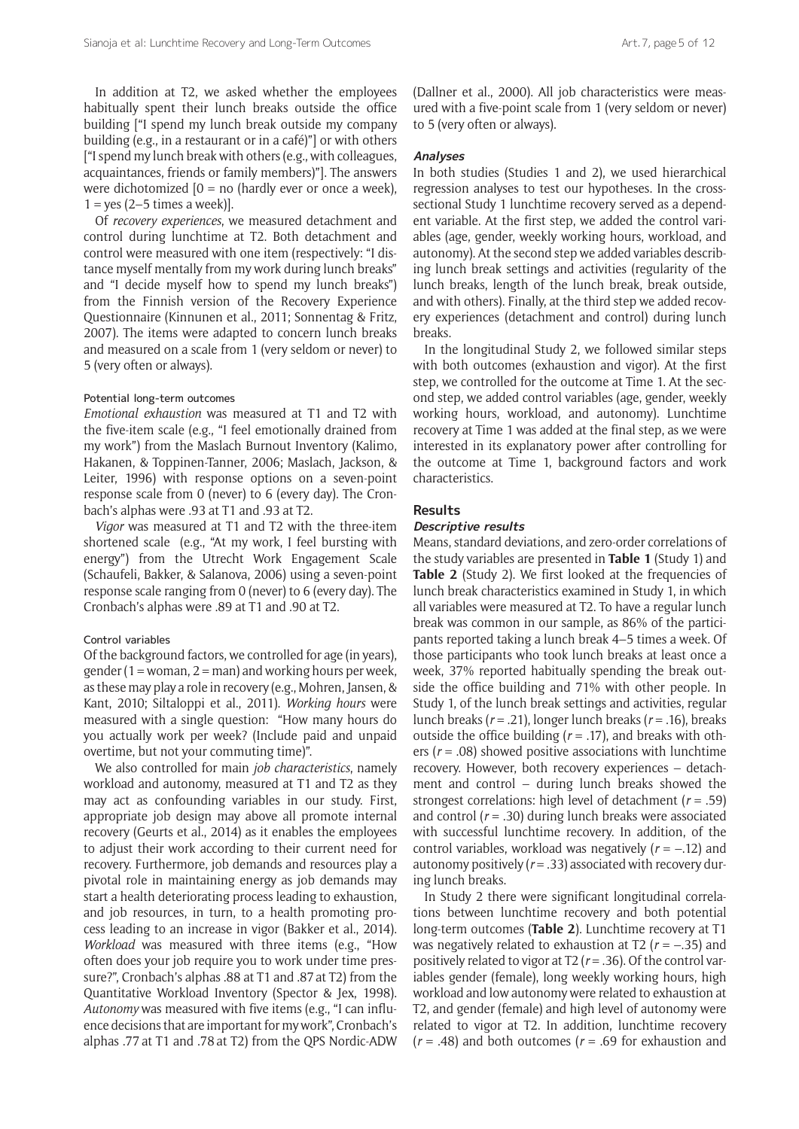In addition at T2, we asked whether the employees habitually spent their lunch breaks outside the office building ["I spend my lunch break outside my company building (e.g., in a restaurant or in a café)"] or with others ["I spend my lunch break with others (e.g., with colleagues, acquaintances, friends or family members)"]. The answers were dichotomized  $[0 = no$  (hardly ever or once a week),  $1 = yes (2-5 times a week)$ ].

Of *recovery experiences*, we measured detachment and control during lunchtime at T2. Both detachment and control were measured with one item (respectively: "I distance myself mentally from my work during lunch breaks" and "I decide myself how to spend my lunch breaks") from the Finnish version of the Recovery Experience Questionnaire (Kinnunen et al., 2011; Sonnentag & Fritz, 2007). The items were adapted to concern lunch breaks and measured on a scale from 1 (very seldom or never) to 5 (very often or always).

#### Potential long-term outcomes

*Emotional exhaustion* was measured at T1 and T2 with the five-item scale (e.g., "I feel emotionally drained from my work") from the Maslach Burnout Inventory (Kalimo, Hakanen, & Toppinen-Tanner, 2006; Maslach, Jackson, & Leiter, 1996) with response options on a seven-point response scale from 0 (never) to 6 (every day). The Cronbach's alphas were .93 at T1 and .93 at T2.

*Vigor* was measured at T1 and T2 with the three-item shortened scale (e.g., "At my work, I feel bursting with energy") from the Utrecht Work Engagement Scale (Schaufeli, Bakker, & Salanova, 2006) using a seven-point response scale ranging from 0 (never) to 6 (every day). The Cronbach's alphas were .89 at T1 and .90 at T2.

#### Control variables

Of the background factors, we controlled for age (in years), gender (1 = woman, 2 = man) and working hours per week, as these may play a role in recovery (e.g., Mohren, Jansen, & Kant, 2010; Siltaloppi et al., 2011). *Working hours* were measured with a single question: "How many hours do you actually work per week? (Include paid and unpaid overtime, but not your commuting time)".

We also controlled for main *job characteristics*, namely workload and autonomy, measured at T1 and T2 as they may act as confounding variables in our study. First, appropriate job design may above all promote internal recovery (Geurts et al., 2014) as it enables the employees to adjust their work according to their current need for recovery. Furthermore, job demands and resources play a pivotal role in maintaining energy as job demands may start a health deteriorating process leading to exhaustion, and job resources, in turn, to a health promoting process leading to an increase in vigor (Bakker et al., 2014). *Workload* was measured with three items (e.g., "How often does your job require you to work under time pressure?", Cronbach's alphas .88 at T1 and .87at T2) from the Quantitative Workload Inventory (Spector & Jex, 1998). *Autonomy* was measured with five items (e.g., "I can influence decisions that are important for my work", Cronbach's alphas .77 at T1 and .78 at T2) from the QPS Nordic-ADW (Dallner et al., 2000). All job characteristics were measured with a five-point scale from 1 (very seldom or never) to 5 (very often or always).

#### **Analyses**

In both studies (Studies 1 and 2), we used hierarchical regression analyses to test our hypotheses. In the crosssectional Study 1 lunchtime recovery served as a dependent variable. At the first step, we added the control variables (age, gender, weekly working hours, workload, and autonomy). At the second step we added variables describing lunch break settings and activities (regularity of the lunch breaks, length of the lunch break, break outside, and with others). Finally, at the third step we added recovery experiences (detachment and control) during lunch breaks.

In the longitudinal Study 2, we followed similar steps with both outcomes (exhaustion and vigor). At the first step, we controlled for the outcome at Time 1. At the second step, we added control variables (age, gender, weekly working hours, workload, and autonomy). Lunchtime recovery at Time 1 was added at the final step, as we were interested in its explanatory power after controlling for the outcome at Time 1, background factors and work characteristics.

#### **Results**

#### **Descriptive results**

Means, standard deviations, and zero-order correlations of the study variables are presented in **Table 1** (Study 1) and **Table 2** (Study 2). We first looked at the frequencies of lunch break characteristics examined in Study 1, in which all variables were measured at T2. To have a regular lunch break was common in our sample, as 86% of the participants reported taking a lunch break 4–5 times a week. Of those participants who took lunch breaks at least once a week, 37% reported habitually spending the break outside the office building and 71% with other people. In Study 1, of the lunch break settings and activities, regular lunch breaks (*r* = .21), longer lunch breaks (*r* = .16), breaks outside the office building (*r* = .17), and breaks with others (*r* = .08) showed positive associations with lunchtime recovery. However, both recovery experiences – detachment and control – during lunch breaks showed the strongest correlations: high level of detachment (*r* = .59) and control (*r* = .30) during lunch breaks were associated with successful lunchtime recovery. In addition, of the control variables, workload was negatively (*r* = −.12) and autonomy positively (*r* = .33) associated with recovery during lunch breaks.

In Study 2 there were significant longitudinal correlations between lunchtime recovery and both potential long-term outcomes (**Table 2**). Lunchtime recovery at T1 was negatively related to exhaustion at T2 (*r* = −.35) and positively related to vigor at  $T2$  ( $r = .36$ ). Of the control variables gender (female), long weekly working hours, high workload and low autonomy were related to exhaustion at T2, and gender (female) and high level of autonomy were related to vigor at T2. In addition, lunchtime recovery (*r* = .48) and both outcomes (*r* = .69 for exhaustion and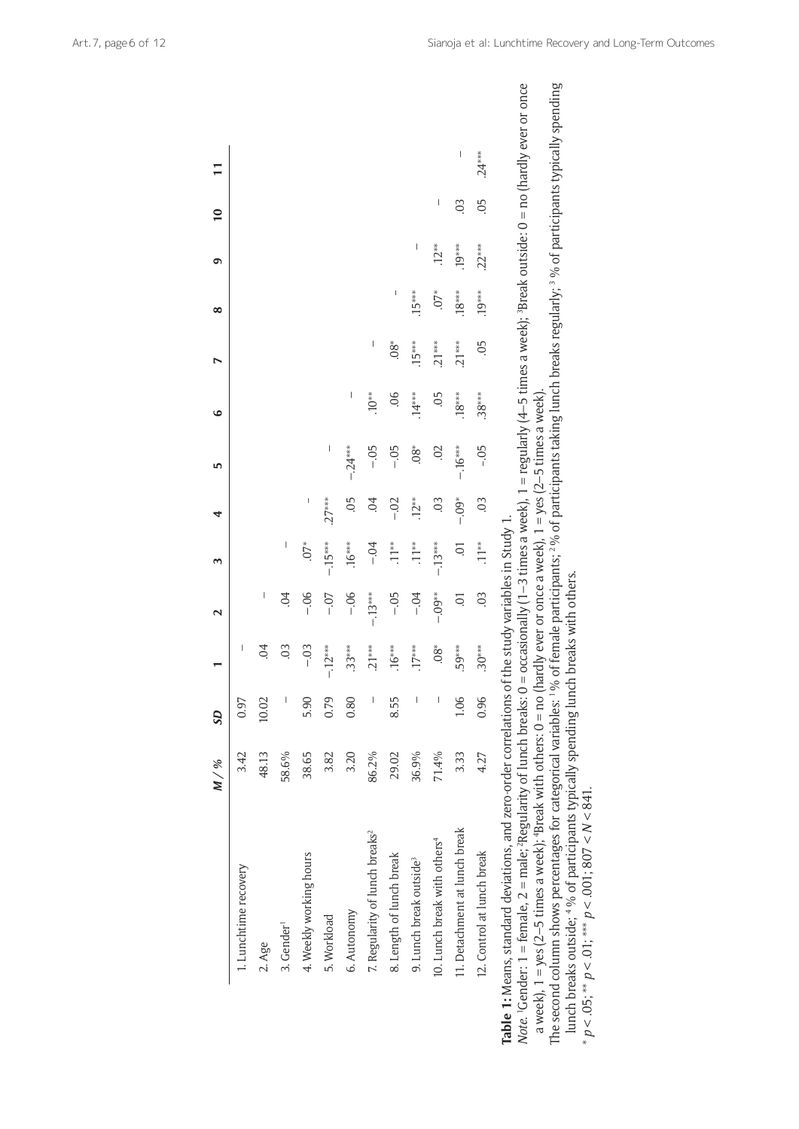|                                                                                                                                                                                                                                                                                                                                                                                                                                                                                                                                                                                                                                                                                                                                                                                                                    | M / % | <b>GS</b>                |                              | $\mathbf 2$         | $\sim$           | 4                   | 5                              | ی        |          | ∞        | ഐ        | $\overline{10}$ |          |  |
|--------------------------------------------------------------------------------------------------------------------------------------------------------------------------------------------------------------------------------------------------------------------------------------------------------------------------------------------------------------------------------------------------------------------------------------------------------------------------------------------------------------------------------------------------------------------------------------------------------------------------------------------------------------------------------------------------------------------------------------------------------------------------------------------------------------------|-------|--------------------------|------------------------------|---------------------|------------------|---------------------|--------------------------------|----------|----------|----------|----------|-----------------|----------|--|
| 1. Lunchtime recovery                                                                                                                                                                                                                                                                                                                                                                                                                                                                                                                                                                                                                                                                                                                                                                                              | 3.42  | 0.97                     |                              |                     |                  |                     |                                |          |          |          |          |                 |          |  |
| 2. Age                                                                                                                                                                                                                                                                                                                                                                                                                                                                                                                                                                                                                                                                                                                                                                                                             | 48.13 | 10.02                    | $\overline{6}$               | I                   |                  |                     |                                |          |          |          |          |                 |          |  |
| 3. Gender <sup>1</sup>                                                                                                                                                                                                                                                                                                                                                                                                                                                                                                                                                                                                                                                                                                                                                                                             | 58.6% |                          | $\ddot{\circ}$               | $\ddot{\mathrm{O}}$ | $\mid$           |                     |                                |          |          |          |          |                 |          |  |
| 4. Weekly working hours                                                                                                                                                                                                                                                                                                                                                                                                                                                                                                                                                                                                                                                                                                                                                                                            | 38.65 | 5.90                     | $-0.3$                       | $-06$               | $\sum_{i=1}^{n}$ | I                   |                                |          |          |          |          |                 |          |  |
| 5. Workload                                                                                                                                                                                                                                                                                                                                                                                                                                                                                                                                                                                                                                                                                                                                                                                                        | 3.82  | 0.79                     | $-12***$                     | $-0.7$              | $-15***$         | $.27***$            | $\begin{array}{c} \end{array}$ |          |          |          |          |                 |          |  |
| 6. Autonomy                                                                                                                                                                                                                                                                                                                                                                                                                                                                                                                                                                                                                                                                                                                                                                                                        | 3.20  | 0.80                     | $.33***$                     | $-06$               | $.16***$         | 05                  | $-0.24***$                     | I        |          |          |          |                 |          |  |
| 7. Regularity of lunch breaks <sup>2</sup>                                                                                                                                                                                                                                                                                                                                                                                                                                                                                                                                                                                                                                                                                                                                                                         | 86.2% |                          | $.21***$                     | $-13***$            | $-0.4$           | $\overline{6}$      | $-0.5$                         | $.10**$  | I        |          |          |                 |          |  |
| 8. Length of lunch break                                                                                                                                                                                                                                                                                                                                                                                                                                                                                                                                                                                                                                                                                                                                                                                           | 29.02 | 8.55                     | $.16***$                     | $-0.5$              | $.11**$          | $-.02$              | $-0.5$                         | 06       | $08*$    | I        |          |                 |          |  |
| 9. Lunch break outside <sup>3</sup>                                                                                                                                                                                                                                                                                                                                                                                                                                                                                                                                                                                                                                                                                                                                                                                | 36.9% | $\overline{\phantom{a}}$ | $.17***$                     | $-0.4$              | $.11**$          | $.12**$             | $\overset{\ast}{\mathbf{8}}$   | $.14***$ | $.15***$ | $.15***$ | $\mid$   |                 |          |  |
| 10. Lunch break with others <sup>4</sup>                                                                                                                                                                                                                                                                                                                                                                                                                                                                                                                                                                                                                                                                                                                                                                           | 71.4% |                          | $\overset{\ast}{\mathbf{8}}$ | $-0.09*$            | $-13***$         | $\ddot{\mathrm{0}}$ | 02                             | 05       | $.21***$ | $.07*$   | $.12**$  | $\mid$          |          |  |
| 11. Detachment at lunch break                                                                                                                                                                                                                                                                                                                                                                                                                                                                                                                                                                                                                                                                                                                                                                                      | 3.33  | 1.06                     | .59***                       | 5.                  | $\overline{0}$   | $-0.04$             | $-16***$                       | $.18***$ | $.21***$ | $.18***$ | $.19***$ | 03              | I        |  |
| 12. Control at lunch break                                                                                                                                                                                                                                                                                                                                                                                                                                                                                                                                                                                                                                                                                                                                                                                         | 4.27  | 0.96                     | $.30***$                     | $\ddot{\mathrm{0}}$ | $.11**$          | $\ddot{\circ}$      | $-0.5$                         | $.38***$ | 05       | $.19***$ | $.22***$ | $0$ 5           | $.24***$ |  |
| Note: 1 = female, 2 = male; ?Regularity of lunch breaks: 0 = occasionally (1-3 times a week), 1 = regularly (4-5 times a week); <sup>3</sup> Break outside: 0 = no (hardly ever or once<br>The second column shows percentages for categorical variables: <sup>1</sup> % of female participants; <sup>2</sup> % of participants taking lunch breaks regularly; <sup>3</sup> % of participants typically spending<br>a week), 1 = yes (2–5 times a week); 'Break with others: 0 = no (hardly ever or once a week), 1 = yes (2–5 times a week).<br><b>Table 1:</b> Means, standard deviations, and zero-order correlations of the study variables in Study 1<br>lunch breaks outside; 4 % of participants typically spending lunch breaks with others.<br>$p < .05$ ; ** $p < .01$ ; *** $p < .001$ ; 807 < N < 841. |       |                          |                              |                     |                  |                     |                                |          |          |          |          |                 |          |  |

The second column shows percentages for categorical variables: <sup>1</sup>% of female participants; <sup>2</sup>% of participants taking lunch breaks regularly; <sup>3</sup>% of participants typically spending lunch breaks outside; <sup>4</sup>% of participants typically spending lunch breaks with others.<br>\*  $p < .05$ ; \*\*  $p < .01$ ; \*\*\*  $p < .001$ ; 807 <  $N < 841$ .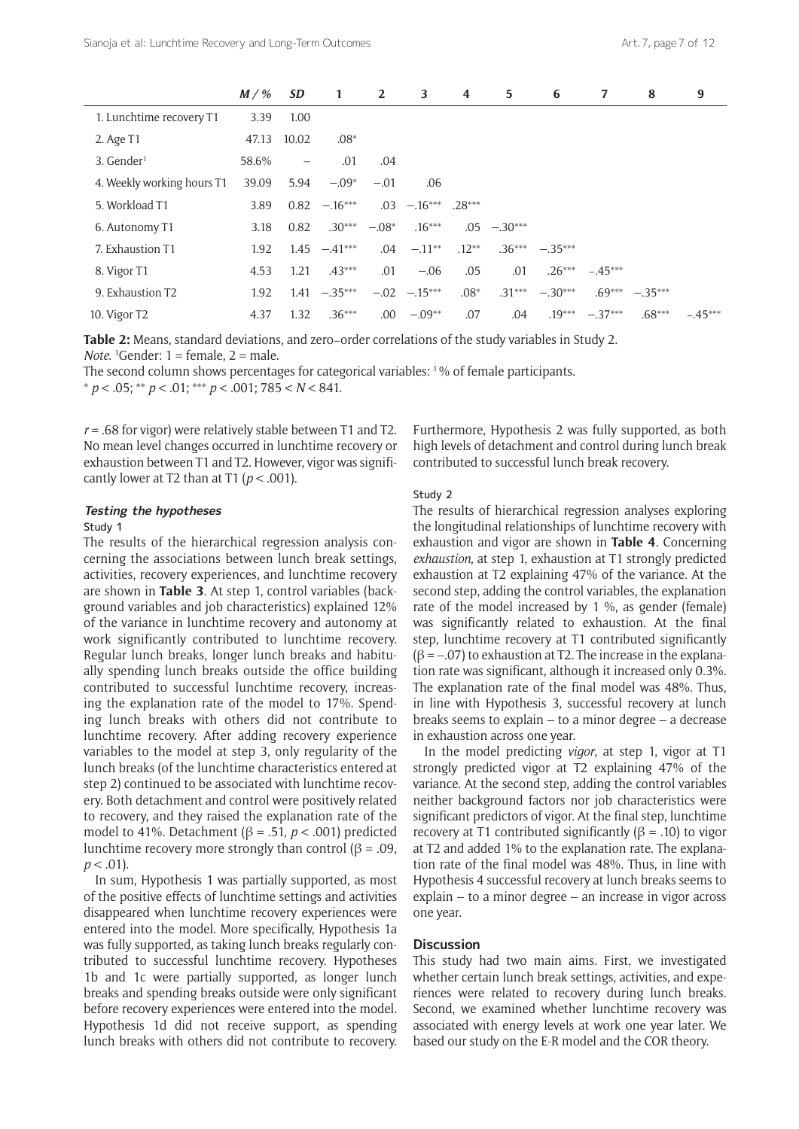|                            | $M / \%$ | <b>SD</b>         | 1         | $\overline{2}$ | 3               | 4        | 5         | 6         | 7         | 8         | 9         |
|----------------------------|----------|-------------------|-----------|----------------|-----------------|----------|-----------|-----------|-----------|-----------|-----------|
| 1. Lunchtime recovery T1   | 3.39     | 1.00              |           |                |                 |          |           |           |           |           |           |
| 2. Age T1                  | 47.13    | 10.02             | $.08*$    |                |                 |          |           |           |           |           |           |
| $3.$ Gender <sup>1</sup>   | 58.6%    | $\qquad \qquad -$ | .01       | .04            |                 |          |           |           |           |           |           |
| 4. Weekly working hours T1 | 39.09    | 5.94              | $-.09*$   | $-.01$         | .06             |          |           |           |           |           |           |
| 5. Workload T1             | 3.89     | 0.82              | $-.16***$ | .03            | $-.16***$       | $.28***$ |           |           |           |           |           |
| 6. Autonomy T1             | 3.18     | 0.82              | $.30***$  | $-.08*$        | $.16***$        | .05      | $-.30***$ |           |           |           |           |
| 7. Exhaustion T1           | 1.92     | 1.45              | $-.41***$ | .04            | $-.11***$       | $.12***$ | $.36***$  | $-.35***$ |           |           |           |
| 8. Vigor T1                | 4.53     | 1.21              | $.43***$  | .01            | $-.06$          | .05      | .01       | $.26***$  | $-.45***$ |           |           |
| 9. Exhaustion T2           | 1.92     | 1.41              | $-.35***$ |                | $-.02 - .15***$ | $.08*$   | $.31***$  | $-.30***$ | $.69***$  | $-.35***$ |           |
| 10. Vigor T <sub>2</sub>   | 4.37     | 1.32              | $.36***$  | .00            | $-.09**$        | .07      | .04       | $.19***$  | $-.37***$ | $.68***$  | $-.45***$ |

**Table 2:** Means, standard deviations, and zero−order correlations of the study variables in Study 2. *Note*. 1 Gender: 1 = female, 2 = male.

The second column shows percentages for categorical variables: 1 % of female participants. \* *p* < .05; \*\* *p* < .01; \*\*\* *p* < .001; 785 < *N* < 841.

*r* = .68 for vigor) were relatively stable between T1 and T2. No mean level changes occurred in lunchtime recovery or exhaustion between T1 and T2. However, vigor was significantly lower at T2 than at T1 ( $p < .001$ ).

#### **Testing the hypotheses**

#### Study 1

The results of the hierarchical regression analysis concerning the associations between lunch break settings, activities, recovery experiences, and lunchtime recovery are shown in **Table 3**. At step 1, control variables (background variables and job characteristics) explained 12% of the variance in lunchtime recovery and autonomy at work significantly contributed to lunchtime recovery. Regular lunch breaks, longer lunch breaks and habitually spending lunch breaks outside the office building contributed to successful lunchtime recovery, increasing the explanation rate of the model to 17%. Spending lunch breaks with others did not contribute to lunchtime recovery. After adding recovery experience variables to the model at step 3, only regularity of the lunch breaks (of the lunchtime characteristics entered at step 2) continued to be associated with lunchtime recovery. Both detachment and control were positively related to recovery, and they raised the explanation rate of the model to 41%. Detachment ( $\beta$  = .51,  $p$  < .001) predicted lunchtime recovery more strongly than control ( $\beta$  = .09,  $p < .01$ ).

In sum, Hypothesis 1 was partially supported, as most of the positive effects of lunchtime settings and activities disappeared when lunchtime recovery experiences were entered into the model. More specifically, Hypothesis 1a was fully supported, as taking lunch breaks regularly contributed to successful lunchtime recovery. Hypotheses 1b and 1c were partially supported, as longer lunch breaks and spending breaks outside were only significant before recovery experiences were entered into the model. Hypothesis 1d did not receive support, as spending lunch breaks with others did not contribute to recovery. Furthermore, Hypothesis 2 was fully supported, as both high levels of detachment and control during lunch break contributed to successful lunch break recovery.

#### Study 2

The results of hierarchical regression analyses exploring the longitudinal relationships of lunchtime recovery with exhaustion and vigor are shown in **Table 4**. Concerning *exhaustion*, at step 1, exhaustion at T1 strongly predicted exhaustion at T2 explaining 47% of the variance. At the second step, adding the control variables, the explanation rate of the model increased by 1 %, as gender (female) was significantly related to exhaustion. At the final step, lunchtime recovery at T1 contributed significantly  $(β = -.07)$  to exhaustion at T2. The increase in the explanation rate was significant, although it increased only 0.3%. The explanation rate of the final model was 48%. Thus, in line with Hypothesis 3, successful recovery at lunch breaks seems to explain – to a minor degree – a decrease in exhaustion across one year.

In the model predicting *vigor*, at step 1, vigor at T1 strongly predicted vigor at T2 explaining 47% of the variance. At the second step, adding the control variables neither background factors nor job characteristics were significant predictors of vigor. At the final step, lunchtime recovery at T1 contributed significantly (β = .10) to vigor at T2 and added 1% to the explanation rate. The explanation rate of the final model was 48%. Thus, in line with Hypothesis 4 successful recovery at lunch breaks seems to explain – to a minor degree – an increase in vigor across one year.

# **Discussion**

This study had two main aims. First, we investigated whether certain lunch break settings, activities, and experiences were related to recovery during lunch breaks. Second, we examined whether lunchtime recovery was associated with energy levels at work one year later. We based our study on the E-R model and the COR theory.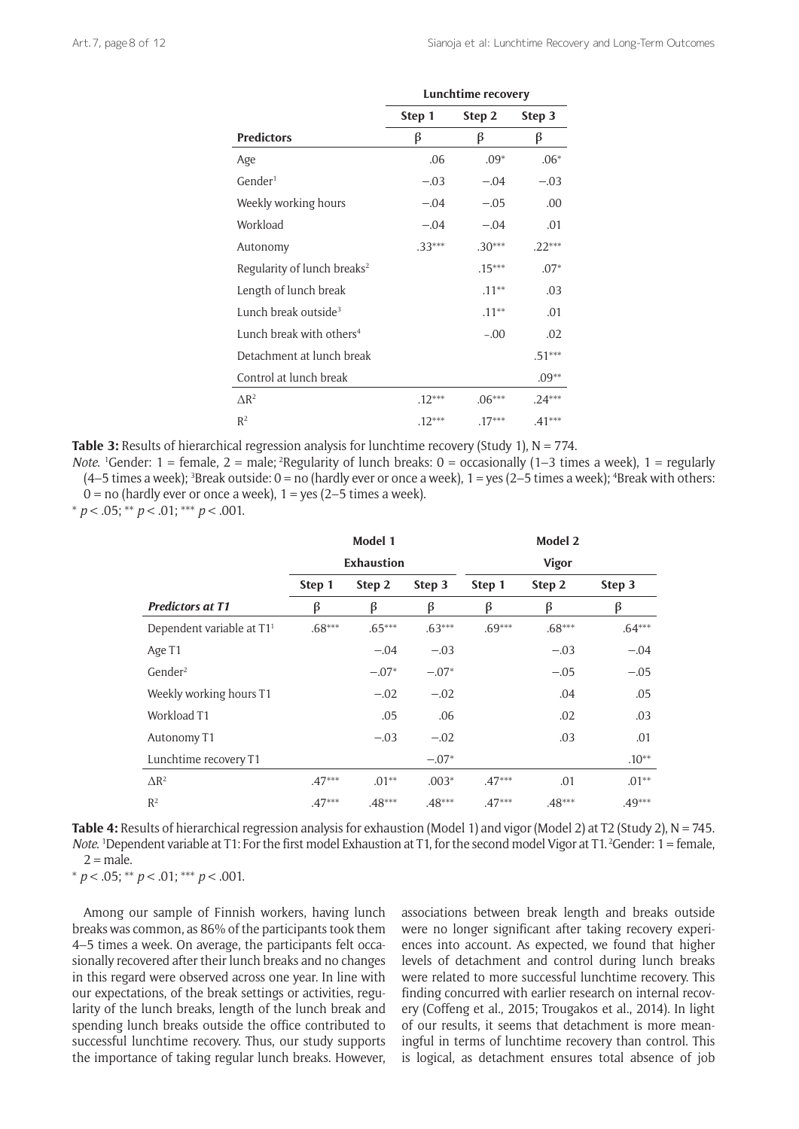|                                         | Lunchtime recovery |          |          |  |  |
|-----------------------------------------|--------------------|----------|----------|--|--|
|                                         | Step 1             | Step 2   | Step 3   |  |  |
| <b>Predictors</b>                       | β                  | β        | β        |  |  |
| Age                                     | .06                | $.09*$   | $.06*$   |  |  |
| Gender <sup>1</sup>                     | $-.03$             | $-.04$   | $-.03$   |  |  |
| Weekly working hours                    | $-.04$             | $-.05$   | .00      |  |  |
| Workload                                | $-.04$             | $-.04$   | .01      |  |  |
| Autonomy                                | $.33***$           | $.30***$ | $.22***$ |  |  |
| Regularity of lunch breaks <sup>2</sup> |                    | $.15***$ | $.07*$   |  |  |
| Length of lunch break                   |                    | $.11***$ | .03      |  |  |
| Lunch break outside <sup>3</sup>        |                    | $.11**$  | .01      |  |  |
| Lunch break with others <sup>4</sup>    |                    | $-.00$   | .02      |  |  |
| Detachment at lunch break               |                    |          | $.51***$ |  |  |
| Control at lunch break                  |                    |          | $.09**$  |  |  |
| $\triangle R^2$                         | $.12***$           | $.06***$ | $.24***$ |  |  |
| $R^2$                                   | $.12***$           | $.17***$ | $.41***$ |  |  |

**Table 3:** Results of hierarchical regression analysis for lunchtime recovery (Study 1), N = 774.

*Note*. <sup>1</sup>Gender: 1 = female, 2 = male; <sup>2</sup>Regularity of lunch breaks: 0 = occasionally (1–3 times a week), 1 = regularly (4–5 times a week); 3 Break outside: 0 = no (hardly ever or once a week), 1 = yes (2–5 times a week); 4 Break with others:  $0 =$  no (hardly ever or once a week),  $1 =$  yes (2–5 times a week).

\* *p* < .05; \*\* *p* < .01; \*\*\* *p* < .001.

|                                       |                   | Model 1  |          | Model 2      |          |          |  |  |
|---------------------------------------|-------------------|----------|----------|--------------|----------|----------|--|--|
|                                       | <b>Exhaustion</b> |          |          | <b>Vigor</b> |          |          |  |  |
|                                       | Step 1            | Step 2   | Step 3   | Step 1       | Step 2   | Step 3   |  |  |
| <b>Predictors at T1</b>               | β                 | β        | β        | β            | β        | β        |  |  |
| Dependent variable at T1 <sup>1</sup> | $.68***$          | $.65***$ | $.63***$ | $.69***$     | $.68***$ | $.64***$ |  |  |
| Age T1                                |                   | $-.04$   | $-.03$   |              | $-.03$   | $-.04$   |  |  |
| Gender <sup>2</sup>                   |                   | $-.07*$  | $-.07*$  |              | $-.05$   | $-.05$   |  |  |
| Weekly working hours T1               |                   | $-.02$   | $-.02$   |              | .04      | .05      |  |  |
| Workload T1                           |                   | .05      | .06      |              | .02      | .03      |  |  |
| Autonomy T1                           |                   | $-.03$   | $-.02$   |              | .03      | .01      |  |  |
| Lunchtime recovery T1                 |                   |          | $-.07*$  |              |          | $.10**$  |  |  |
| $\Delta$ R <sup>2</sup>               | $.47***$          | $.01**$  | $.003*$  | $.47***$     | .01      | $.01**$  |  |  |
| $R^2$                                 | $.47***$          | $.48***$ | $.48***$ | $.47***$     | $.48***$ | $.49***$ |  |  |

Table 4: Results of hierarchical regression analysis for exhaustion (Model 1) and vigor (Model 2) at T2 (Study 2), N = 745. *Note*. <sup>1</sup>Dependent variable at T1: For the first model Exhaustion at T1, for the second model Vigor at T1.<sup>2</sup>Gender: 1 = female,  $2 = male$ .

\* *p* < .05; \*\* *p* < .01; \*\*\* *p* < .001.

Among our sample of Finnish workers, having lunch breaks was common, as 86% of the participants took them 4–5 times a week. On average, the participants felt occasionally recovered after their lunch breaks and no changes in this regard were observed across one year. In line with our expectations, of the break settings or activities, regularity of the lunch breaks, length of the lunch break and spending lunch breaks outside the office contributed to successful lunchtime recovery. Thus, our study supports the importance of taking regular lunch breaks. However, associations between break length and breaks outside were no longer significant after taking recovery experiences into account. As expected, we found that higher levels of detachment and control during lunch breaks were related to more successful lunchtime recovery. This finding concurred with earlier research on internal recovery (Coffeng et al., 2015; Trougakos et al., 2014). In light of our results, it seems that detachment is more meaningful in terms of lunchtime recovery than control. This is logical, as detachment ensures total absence of job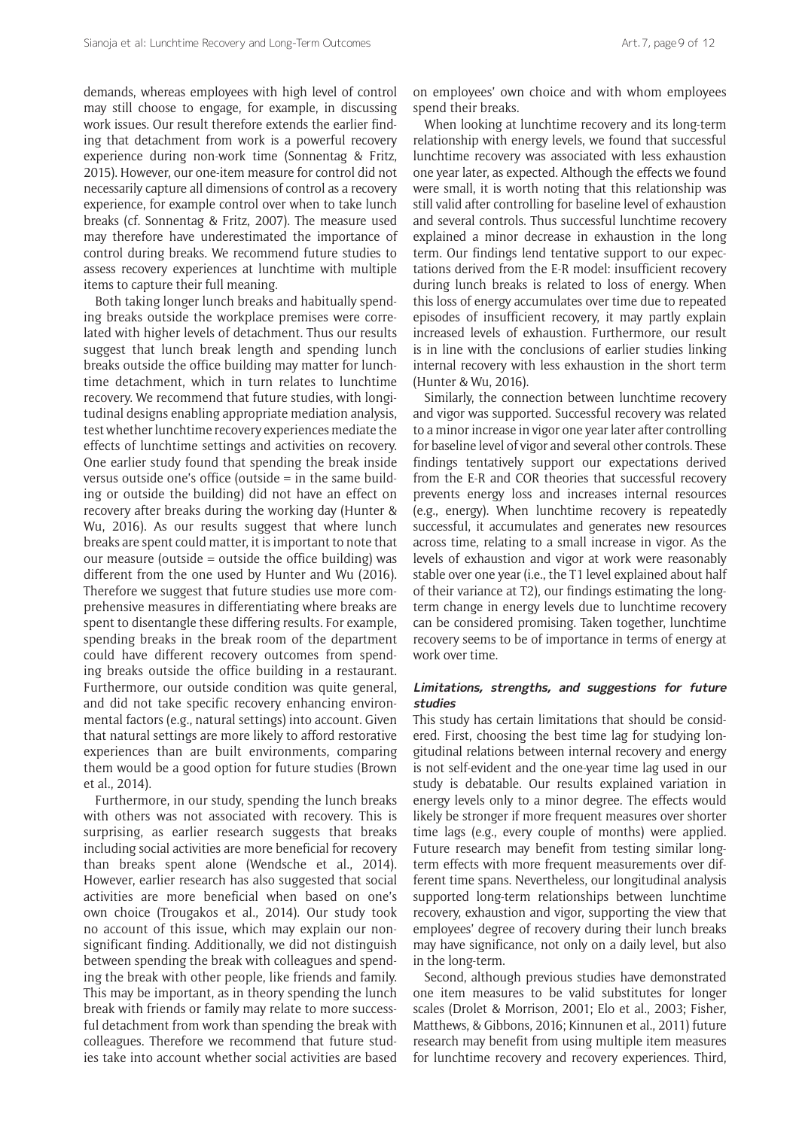demands, whereas employees with high level of control may still choose to engage, for example, in discussing work issues. Our result therefore extends the earlier finding that detachment from work is a powerful recovery experience during non-work time (Sonnentag & Fritz, 2015). However, our one-item measure for control did not necessarily capture all dimensions of control as a recovery experience, for example control over when to take lunch breaks (cf. Sonnentag & Fritz, 2007). The measure used may therefore have underestimated the importance of control during breaks. We recommend future studies to assess recovery experiences at lunchtime with multiple items to capture their full meaning.

Both taking longer lunch breaks and habitually spending breaks outside the workplace premises were correlated with higher levels of detachment. Thus our results suggest that lunch break length and spending lunch breaks outside the office building may matter for lunchtime detachment, which in turn relates to lunchtime recovery. We recommend that future studies, with longitudinal designs enabling appropriate mediation analysis, test whether lunchtime recovery experiences mediate the effects of lunchtime settings and activities on recovery. One earlier study found that spending the break inside versus outside one's office (outside  $=$  in the same building or outside the building) did not have an effect on recovery after breaks during the working day (Hunter & Wu, 2016). As our results suggest that where lunch breaks are spent could matter, it is important to note that our measure (outside  $=$  outside the office building) was different from the one used by Hunter and Wu (2016). Therefore we suggest that future studies use more comprehensive measures in differentiating where breaks are spent to disentangle these differing results. For example, spending breaks in the break room of the department could have different recovery outcomes from spending breaks outside the office building in a restaurant. Furthermore, our outside condition was quite general, and did not take specific recovery enhancing environmental factors (e.g., natural settings) into account. Given that natural settings are more likely to afford restorative experiences than are built environments, comparing them would be a good option for future studies (Brown et al., 2014).

Furthermore, in our study, spending the lunch breaks with others was not associated with recovery. This is surprising, as earlier research suggests that breaks including social activities are more beneficial for recovery than breaks spent alone (Wendsche et al., 2014). However, earlier research has also suggested that social activities are more beneficial when based on one's own choice (Trougakos et al., 2014). Our study took no account of this issue, which may explain our nonsignificant finding. Additionally, we did not distinguish between spending the break with colleagues and spending the break with other people, like friends and family. This may be important, as in theory spending the lunch break with friends or family may relate to more successful detachment from work than spending the break with colleagues. Therefore we recommend that future studies take into account whether social activities are based

on employees' own choice and with whom employees spend their breaks.

When looking at lunchtime recovery and its long-term relationship with energy levels, we found that successful lunchtime recovery was associated with less exhaustion one year later, as expected. Although the effects we found were small, it is worth noting that this relationship was still valid after controlling for baseline level of exhaustion and several controls. Thus successful lunchtime recovery explained a minor decrease in exhaustion in the long term. Our findings lend tentative support to our expectations derived from the E-R model: insufficient recovery during lunch breaks is related to loss of energy. When this loss of energy accumulates over time due to repeated episodes of insufficient recovery, it may partly explain increased levels of exhaustion. Furthermore, our result is in line with the conclusions of earlier studies linking internal recovery with less exhaustion in the short term (Hunter & Wu, 2016).

Similarly, the connection between lunchtime recovery and vigor was supported. Successful recovery was related to a minor increase in vigor one year later after controlling for baseline level of vigor and several other controls. These findings tentatively support our expectations derived from the E-R and COR theories that successful recovery prevents energy loss and increases internal resources (e.g., energy). When lunchtime recovery is repeatedly successful, it accumulates and generates new resources across time, relating to a small increase in vigor. As the levels of exhaustion and vigor at work were reasonably stable over one year (i.e., the T1 level explained about half of their variance at T2), our findings estimating the longterm change in energy levels due to lunchtime recovery can be considered promising. Taken together, lunchtime recovery seems to be of importance in terms of energy at work over time.

# **Limitations, strengths, and suggestions for future studies**

This study has certain limitations that should be considered. First, choosing the best time lag for studying longitudinal relations between internal recovery and energy is not self-evident and the one-year time lag used in our study is debatable. Our results explained variation in energy levels only to a minor degree. The effects would likely be stronger if more frequent measures over shorter time lags (e.g., every couple of months) were applied. Future research may benefit from testing similar longterm effects with more frequent measurements over different time spans. Nevertheless, our longitudinal analysis supported long-term relationships between lunchtime recovery, exhaustion and vigor, supporting the view that employees' degree of recovery during their lunch breaks may have significance, not only on a daily level, but also in the long-term.

Second, although previous studies have demonstrated one item measures to be valid substitutes for longer scales (Drolet & Morrison, 2001; Elo et al., 2003; Fisher, Matthews, & Gibbons, 2016; Kinnunen et al., 2011) future research may benefit from using multiple item measures for lunchtime recovery and recovery experiences. Third,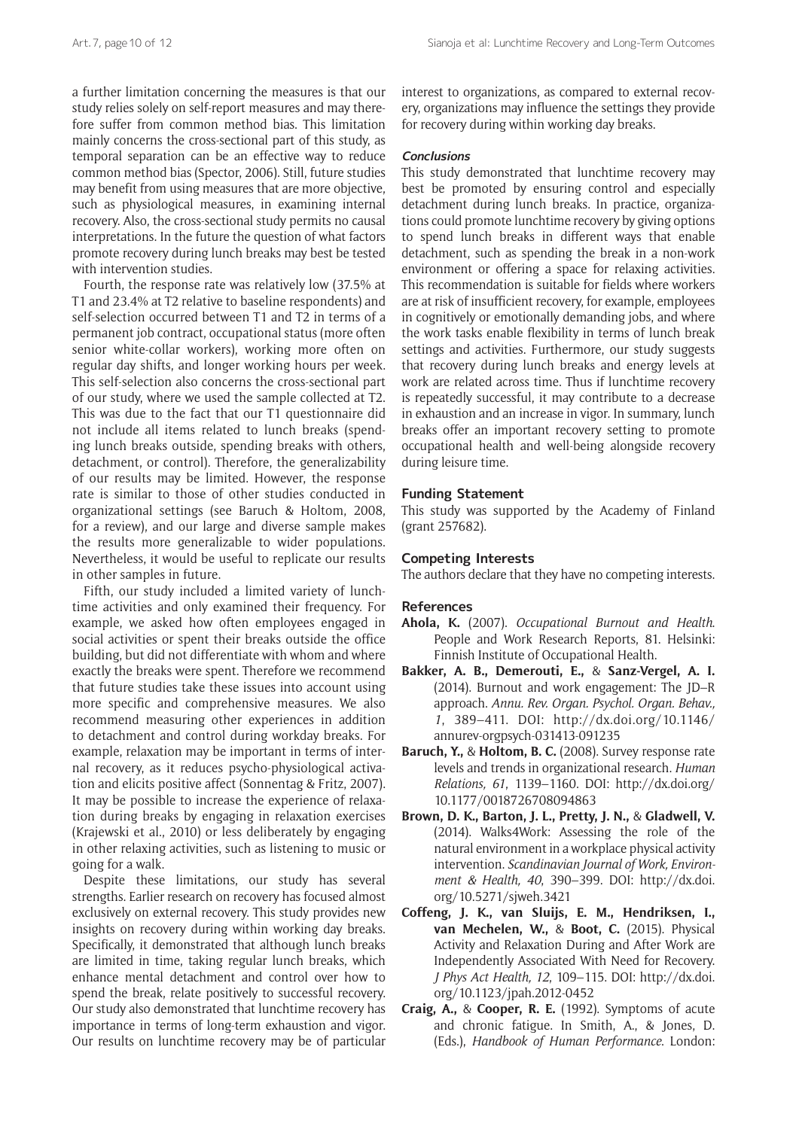a further limitation concerning the measures is that our study relies solely on self-report measures and may therefore suffer from common method bias. This limitation mainly concerns the cross-sectional part of this study, as temporal separation can be an effective way to reduce common method bias (Spector, 2006). Still, future studies may benefit from using measures that are more objective, such as physiological measures, in examining internal recovery. Also, the cross-sectional study permits no causal interpretations. In the future the question of what factors promote recovery during lunch breaks may best be tested with intervention studies.

Fourth, the response rate was relatively low (37.5% at T1 and 23.4% at T2 relative to baseline respondents) and self-selection occurred between T1 and T2 in terms of a permanent job contract, occupational status (more often senior white-collar workers), working more often on regular day shifts, and longer working hours per week. This self-selection also concerns the cross-sectional part of our study, where we used the sample collected at T2. This was due to the fact that our T1 questionnaire did not include all items related to lunch breaks (spending lunch breaks outside, spending breaks with others, detachment, or control). Therefore, the generalizability of our results may be limited. However, the response rate is similar to those of other studies conducted in organizational settings (see Baruch & Holtom, 2008, for a review), and our large and diverse sample makes the results more generalizable to wider populations. Nevertheless, it would be useful to replicate our results in other samples in future.

Fifth, our study included a limited variety of lunchtime activities and only examined their frequency. For example, we asked how often employees engaged in social activities or spent their breaks outside the office building, but did not differentiate with whom and where exactly the breaks were spent. Therefore we recommend that future studies take these issues into account using more specific and comprehensive measures. We also recommend measuring other experiences in addition to detachment and control during workday breaks. For example, relaxation may be important in terms of internal recovery, as it reduces psycho-physiological activation and elicits positive affect (Sonnentag & Fritz, 2007). It may be possible to increase the experience of relaxation during breaks by engaging in relaxation exercises (Krajewski et al., 2010) or less deliberately by engaging in other relaxing activities, such as listening to music or going for a walk.

Despite these limitations, our study has several strengths. Earlier research on recovery has focused almost exclusively on external recovery. This study provides new insights on recovery during within working day breaks. Specifically, it demonstrated that although lunch breaks are limited in time, taking regular lunch breaks, which enhance mental detachment and control over how to spend the break, relate positively to successful recovery. Our study also demonstrated that lunchtime recovery has importance in terms of long-term exhaustion and vigor. Our results on lunchtime recovery may be of particular

interest to organizations, as compared to external recovery, organizations may influence the settings they provide for recovery during within working day breaks.

#### **Conclusions**

This study demonstrated that lunchtime recovery may best be promoted by ensuring control and especially detachment during lunch breaks. In practice, organizations could promote lunchtime recovery by giving options to spend lunch breaks in different ways that enable detachment, such as spending the break in a non-work environment or offering a space for relaxing activities. This recommendation is suitable for fields where workers are at risk of insufficient recovery, for example, employees in cognitively or emotionally demanding jobs, and where the work tasks enable flexibility in terms of lunch break settings and activities. Furthermore, our study suggests that recovery during lunch breaks and energy levels at work are related across time. Thus if lunchtime recovery is repeatedly successful, it may contribute to a decrease in exhaustion and an increase in vigor. In summary, lunch breaks offer an important recovery setting to promote occupational health and well-being alongside recovery during leisure time.

# **Funding Statement**

This study was supported by the Academy of Finland (grant 257682).

# **Competing Interests**

The authors declare that they have no competing interests.

#### **References**

- **Ahola, K.** (2007). *Occupational Burnout and Health*. People and Work Research Reports, 81. Helsinki: Finnish Institute of Occupational Health.
- **Bakker, A. B., Demerouti, E.,** & **Sanz-Vergel, A. I.** (2014). Burnout and work engagement: The JD–R approach. *Annu. Rev. Organ. Psychol. Organ. Behav., 1*, 389–411. DOI: [http://dx.doi.org/10.1146/](http://dx.doi.org/10.1146/annurev-orgpsych-031413-091235) [annurev-orgpsych-031413-091235](http://dx.doi.org/10.1146/annurev-orgpsych-031413-091235)
- **Baruch, Y.,** & **Holtom, B. C.** (2008). Survey response rate levels and trends in organizational research. *Human Relations, 61*, 1139–1160. DOI: [http://dx.doi.org/](http://dx.doi.org/10.1177/0018726708094863) [10.1177/0018726708094863](http://dx.doi.org/10.1177/0018726708094863)
- **Brown, D. K., Barton, J. L., Pretty, J. N.,** & **Gladwell, V.** (2014). Walks4Work: Assessing the role of the natural environment in a workplace physical activity intervention. *Scandinavian Journal of Work, Environment & Health, 40*, 390–399. DOI: [http://dx.doi.](http://dx.doi.org/10.5271/sjweh.3421) [org/10.5271/sjweh.3421](http://dx.doi.org/10.5271/sjweh.3421)
- **Coffeng, J. K., van Sluijs, E. M., Hendriksen, I., van Mechelen, W.,** & **Boot, C.** (2015). Physical Activity and Relaxation During and After Work are Independently Associated With Need for Recovery. *J Phys Act Health, 12*, 109–115. DOI: [http://dx.doi.](http://dx.doi.org/10.1123/jpah.2012-0452) [org/10.1123/jpah.2012-0452](http://dx.doi.org/10.1123/jpah.2012-0452)
- **Craig, A.,** & **Cooper, R. E.** (1992). Symptoms of acute and chronic fatigue. In Smith, A., & Jones, D. (Eds.), *Handbook of Human Performance*. London: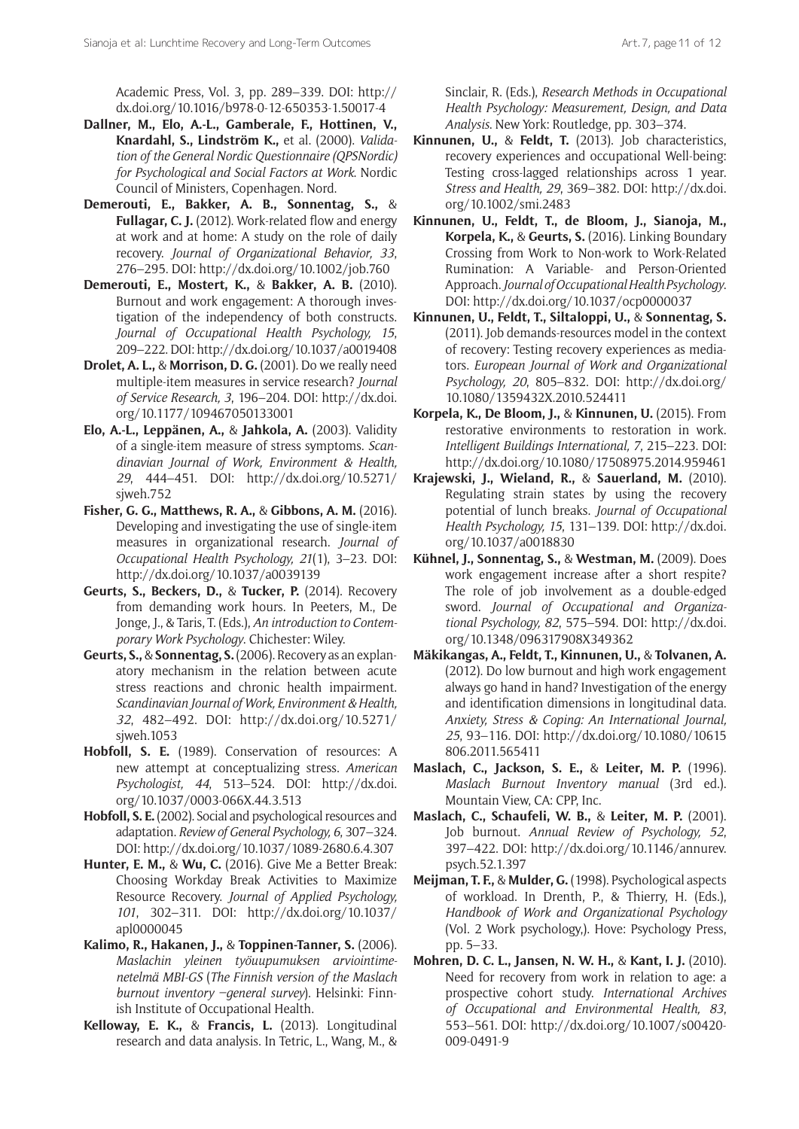Academic Press, Vol. 3, pp. 289–339. DOI: [http://](http://dx.doi.org/10.1016/b978-0-12-650353-1.50017-4) [dx.doi.org/10.1016/b978-0-12-650353-1.50017-4](http://dx.doi.org/10.1016/b978-0-12-650353-1.50017-4)

- **Dallner, M., Elo, A.-L., Gamberale, F., Hottinen, V., Knardahl, S., Lindström K.,** et al. (2000). *Validation of the General Nordic Questionnaire (QPSNordic) for Psychological and Social Factors at Work*. Nordic Council of Ministers, Copenhagen. Nord.
- **Demerouti, E., Bakker, A. B., Sonnentag, S.,** & **Fullagar, C. J.** (2012). Work-related flow and energy at work and at home: A study on the role of daily recovery. *Journal of Organizational Behavior, 33*, 276–295. DOI:<http://dx.doi.org/10.1002/job.760>
- **Demerouti, E., Mostert, K.,** & **Bakker, A. B.** (2010). Burnout and work engagement: A thorough investigation of the independency of both constructs. *Journal of Occupational Health Psychology, 15*, 209–222. DOI:<http://dx.doi.org/10.1037/a0019408>
- **Drolet, A. L.,** & **Morrison, D. G.** (2001). Do we really need multiple-item measures in service research? *Journal of Service Research, 3*, 196–204. DOI: [http://dx.doi.](http://dx.doi.org/10.1177/109467050133001) [org/10.1177/109467050133001](http://dx.doi.org/10.1177/109467050133001)
- **Elo, A.-L., Leppänen, A.,** & **Jahkola, A.** (2003). Validity of a single-item measure of stress symptoms. *Scandinavian Journal of Work, Environment & Health, 29*, 444–451. DOI: [http://dx.doi.org/10.5271/](http://dx.doi.org/10.5271/sjweh.752) [sjweh.752](http://dx.doi.org/10.5271/sjweh.752)
- **Fisher, G. G., Matthews, R. A.,** & **Gibbons, A. M.** (2016). Developing and investigating the use of single-item measures in organizational research. *Journal of Occupational Health Psychology, 21*(1), 3–23. DOI: <http://dx.doi.org/10.1037/a0039139>
- **Geurts, S., Beckers, D.,** & **Tucker, P.** (2014). Recovery from demanding work hours. In Peeters, M., De Jonge, J., & Taris, T. (Eds.), *An introduction to Contemporary Work Psychology*. Chichester: Wiley.
- **Geurts, S.,** & **Sonnentag, S.** (2006). Recovery as an explanatory mechanism in the relation between acute stress reactions and chronic health impairment. *Scandinavian Journal of Work, Environment & Health, 32*, 482–492. DOI: [http://dx.doi.org/10.5271/](http://dx.doi.org/10.5271/sjweh.1053) [sjweh.1053](http://dx.doi.org/10.5271/sjweh.1053)
- **Hobfoll, S. E.** (1989). Conservation of resources: A new attempt at conceptualizing stress. *American Psychologist, 44*, 513–524. DOI: [http://dx.doi.](http://dx.doi.org/10.1037/0003-066X.44.3.513) [org/10.1037/0003-066X.44.3.513](http://dx.doi.org/10.1037/0003-066X.44.3.513)
- **Hobfoll, S. E.** (2002). Social and psychological resources and adaptation. *Review of General Psychology, 6*, 307–324. DOI: <http://dx.doi.org/10.1037/1089-2680.6.4.307>
- **Hunter, E. M.,** & **Wu, C.** (2016). Give Me a Better Break: Choosing Workday Break Activities to Maximize Resource Recovery. *Journal of Applied Psychology, 101*, 302–311. DOI: [http://dx.doi.org/10.1037/](http://dx.doi.org/10.1037/apl0000045) [apl0000045](http://dx.doi.org/10.1037/apl0000045)
- **Kalimo, R., Hakanen, J.,** & **Toppinen-Tanner, S.** (2006). *Maslachin yleinen työuupumuksen arviointimenetelmä MBI-GS* (*The Finnish version of the Maslach burnout inventory –general survey*). Helsinki: Finnish Institute of Occupational Health.
- **Kelloway, E. K.,** & **Francis, L.** (2013). Longitudinal research and data analysis. In Tetric, L., Wang, M., &

Sinclair, R. (Eds.), *Research Methods in Occupational Health Psychology: Measurement, Design, and Data Analysis*. New York: Routledge, pp. 303–374.

- **Kinnunen, U.,** & **Feldt, T.** (2013). Job characteristics, recovery experiences and occupational Well-being: Testing cross-lagged relationships across 1 year. *Stress and Health, 29*, 369–382. DOI: [http://dx.doi.](http://dx.doi.org/10.1002/smi.2483) [org/10.1002/smi.2483](http://dx.doi.org/10.1002/smi.2483)
- **Kinnunen, U., Feldt, T., de Bloom, J., Sianoja, M., Korpela, K.,** & **Geurts, S.** (2016). Linking Boundary Crossing from Work to Non-work to Work-Related Rumination: A Variable- and Person-Oriented Approach. *Journal of Occupational Health Psychology*. DOI: <http://dx.doi.org/10.1037/ocp0000037>
- **Kinnunen, U., Feldt, T., Siltaloppi, U.,** & **Sonnentag, S.** (2011). Job demands-resources model in the context of recovery: Testing recovery experiences as mediators. *European Journal of Work and Organizational Psychology, 20*, 805–832. DOI: [http://dx.doi.org/](http://dx.doi.org/10.1080/1359432X.2010.524411) [10.1080/1359432X.2010.524411](http://dx.doi.org/10.1080/1359432X.2010.524411)
- **Korpela, K., De Bloom, J.,** & **Kinnunen, U.** (2015). From restorative environments to restoration in work. *Intelligent Buildings International, 7*, 215–223. DOI: <http://dx.doi.org/10.1080/17508975.2014.959461>
- **Krajewski, J., Wieland, R.,** & **Sauerland, M.** (2010). Regulating strain states by using the recovery potential of lunch breaks. *Journal of Occupational Health Psychology, 15*, 131–139. DOI: [http://dx.doi.](http://dx.doi.org/10.1037/a0018830) [org/10.1037/a0018830](http://dx.doi.org/10.1037/a0018830)
- **Kühnel, J., Sonnentag, S.,** & **Westman, M.** (2009). Does work engagement increase after a short respite? The role of job involvement as a double-edged sword. *Journal of Occupational and Organizational Psychology, 82*, 575–594. DOI: [http://dx.doi.](http://dx.doi.org/10.1348/096317908X349362) [org/10.1348/096317908X349362](http://dx.doi.org/10.1348/096317908X349362)
- **Mäkikangas, A., Feldt, T., Kinnunen, U.,** & **Tolvanen, A.** (2012). Do low burnout and high work engagement always go hand in hand? Investigation of the energy and identification dimensions in longitudinal data. *Anxiety, Stress & Coping: An International Journal, 25*, 93–116. DOI: [http://dx.doi.org/10.1080/10615](http://dx.doi.org/10.1080/10615806.2011.565411) [806.2011.565411](http://dx.doi.org/10.1080/10615806.2011.565411)
- **Maslach, C., Jackson, S. E.,** & **Leiter, M. P.** (1996). *Maslach Burnout Inventory manual* (3rd ed.). Mountain View, CA: CPP, Inc.
- **Maslach, C., Schaufeli, W. B.,** & **Leiter, M. P.** (2001). Job burnout. *Annual Review of Psychology, 52*, 397–422. DOI: [http://dx.doi.org/10.1146/annurev.](http://dx.doi.org/10.1146/annurev.psych.52.1.397) [psych.52.1.397](http://dx.doi.org/10.1146/annurev.psych.52.1.397)
- **Meijman, T. F.,** & **Mulder, G.** (1998). Psychological aspects of workload. In Drenth, P., & Thierry, H. (Eds.), *Handbook of Work and Organizational Psychology* (Vol. 2 Work psychology,). Hove: Psychology Press, pp. 5–33.
- **Mohren, D. C. L., Jansen, N. W. H.,** & **Kant, I. J.** (2010). Need for recovery from work in relation to age: a prospective cohort study. *International Archives of Occupational and Environmental Health, 83*, 553–561. DOI: [http://dx.doi.org/10.1007/s00420-](http://dx.doi.org/10.1007/s00420-009-0491-9) [009-0491-9](http://dx.doi.org/10.1007/s00420-009-0491-9)